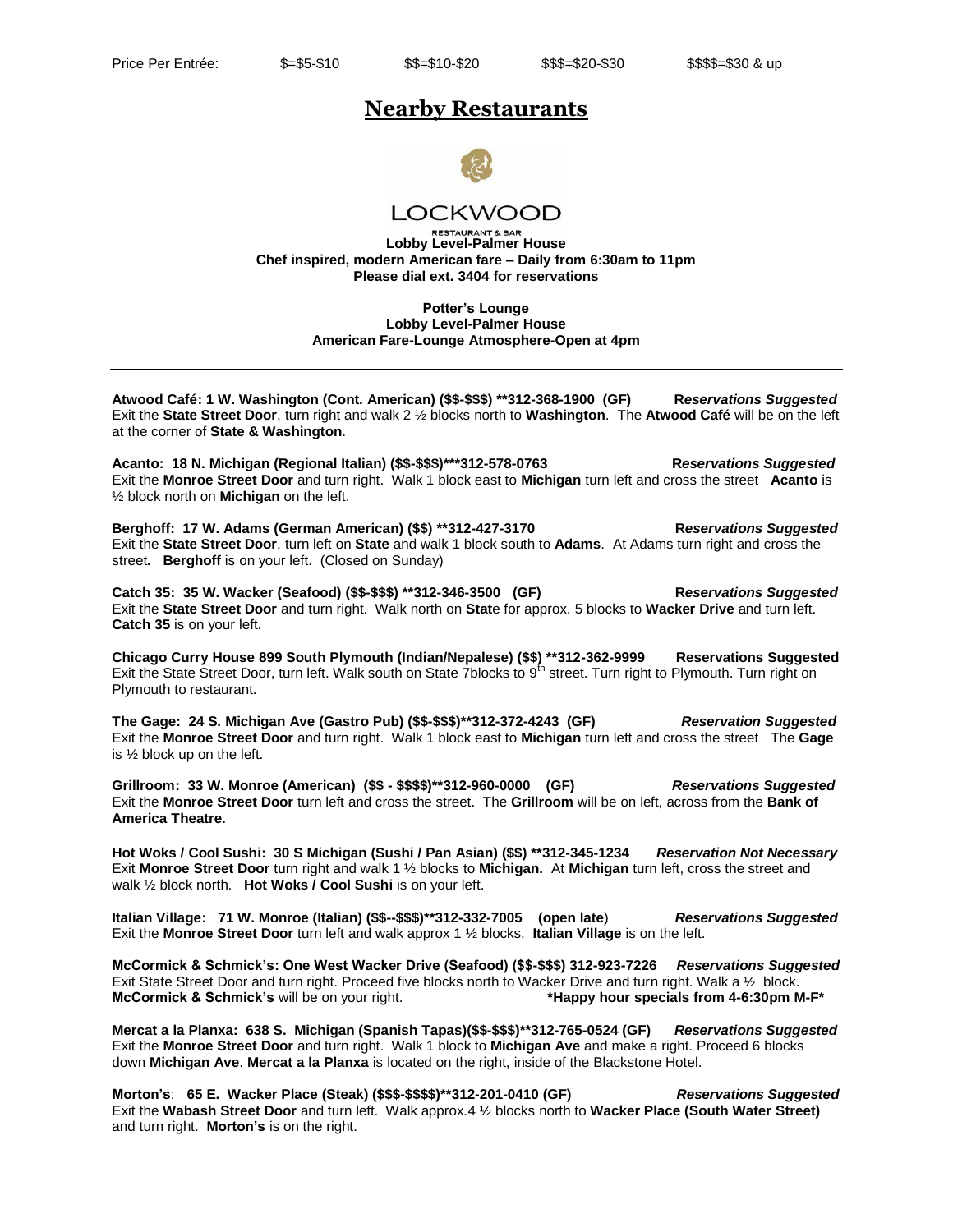## **Nearby Restaurants**



**LOCKWOOD** 

**RESTAURANT & BAF Lobby Level-Palmer House Chef inspired, modern American fare – Daily from 6:30am to 11pm Please dial ext. 3404 for reservations** 

> **Potter's Lounge Lobby Level-Palmer House American Fare-Lounge Atmosphere-Open at 4pm**

**Atwood Café: 1 W. Washington (Cont. American) (\$\$-\$\$\$) \*\*312-368-1900 (GF) R***eservations Suggested*  Exit the **State Street Door**, turn right and walk 2 ½ blocks north to **Washington**. The **Atwood Café** will be on the left at the corner of **State & Washington**.

**Acanto: 18 N. Michigan (Regional Italian) (\$\$-\$\$\$)\*\*\*312-578-0763 R***eservations Suggested*  Exit the **Monroe Street Door** and turn right. Walk 1 block east to **Michigan** turn left and cross the street **Acanto** is ½ block north on **Michigan** on the left.

**Berghoff: 17 W. Adams (German American) (\$\$) \*\*312-427-3170 R***eservations Suggested*  Exit the **State Street Door**, turn left on **State** and walk 1 block south to **Adams**. At Adams turn right and cross the street**. Berghoff** is on your left. (Closed on Sunday)

**Catch 35: 35 W. Wacker (Seafood) (\$\$-\$\$\$) \*\*312-346-3500 (GF) R***eservations Suggested*  Exit the **State Street Door** and turn right. Walk north on **Stat**e for approx. 5 blocks to **Wacker Drive** and turn left. **Catch 35** is on your left.

**Chicago Curry House 899 South Plymouth (Indian/Nepalese) (\$\$) \*\*312-362-9999 Reservations Suggested** Exit the State Street Door, turn left. Walk south on State 7blocks to 9<sup>th</sup> street. Turn right to Plymouth. Turn right on Plymouth to restaurant.

**The Gage: 24 S. Michigan Ave (Gastro Pub) (\$\$-\$\$\$)\*\*312-372-4243 (GF)** *Reservation Suggested*  Exit the **Monroe Street Door** and turn right. Walk 1 block east to **Michigan** turn left and cross the street The **Gage** is ½ block up on the left.

**Grillroom: 33 W. Monroe (American) (\$\$ - \$\$\$\$)\*\*312-960-0000 (GF)** *Reservations Suggested*  Exit the **Monroe Street Door** turn left and cross the street. The **Grillroom** will be on left, across from the **Bank of America Theatre.** 

**Hot Woks / Cool Sushi: 30 S Michigan (Sushi / Pan Asian) (\$\$) \*\*312-345-1234** *Reservation Not Necessary* Exit **Monroe Street Door** turn right and walk 1 ½ blocks to **Michigan.** At **Michigan** turn left, cross the street and walk ½ block north. **Hot Woks / Cool Sushi** is on your left.

**Italian Village: 71 W. Monroe (Italian) (\$\$--\$\$\$)\*\*312-332-7005 (open late**) *Reservations Suggested*  Exit the **Monroe Street Door** turn left and walk approx 1 ½ blocks. **Italian Village** is on the left.

**McCormick & Schmick's: One West Wacker Drive (Seafood) (\$\$-\$\$\$) 312-923-7226** *Reservations Suggested* Exit State Street Door and turn right. Proceed five blocks north to Wacker Drive and turn right. Walk a 1/2 block. **McCormick & Schmick's** will be on your right. **\*Happy hour specials from 4-6:30pm M-F\***

**Mercat a la Planxa: 638 S. Michigan (Spanish Tapas)(\$\$-\$\$\$)\*\*312-765-0524 (GF)** *Reservations Suggested* Exit the **Monroe Street Door** and turn right. Walk 1 block to **Michigan Ave** and make a right. Proceed 6 blocks down **Michigan Ave**. **Mercat a la Planxa** is located on the right, inside of the Blackstone Hotel.

**Morton's**: **65 E. Wacker Place (Steak) (\$\$\$-\$\$\$\$)\*\*312-201-0410 (GF)** *Reservations Suggested*  Exit the **Wabash Street Door** and turn left. Walk approx.4 ½ blocks north to **Wacker Place (South Water Street)** and turn right. **Morton's** is on the right.